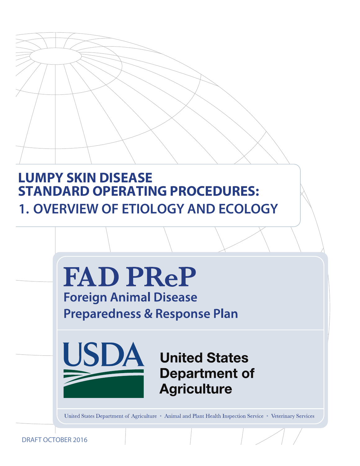# **LUMPY SKIN DISEASE STANDARD OPERATING PROCEDURES: 1. OVERVIEW OF ETIOLOGY AND ECOLOGY**



DRAFT OCTOBER 2016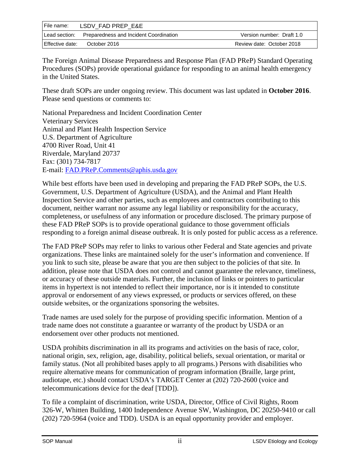| I File name:    | LSDV FAD PREP E&E                      |                           |  |
|-----------------|----------------------------------------|---------------------------|--|
| Lead section:   | Preparedness and Incident Coordination | Version number: Draft 1.0 |  |
| Effective date: | October 2016                           | Review date: October 2018 |  |

The Foreign Animal Disease Preparedness and Response Plan (FAD PReP) Standard Operating Procedures (SOPs) provide operational guidance for responding to an animal health emergency in the United States.

These draft SOPs are under ongoing review. This document was last updated in **October 2016**. Please send questions or comments to:

National Preparedness and Incident Coordination Center Veterinary Services Animal and Plant Health Inspection Service U.S. Department of Agriculture 4700 River Road, Unit 41 Riverdale, Maryland 20737 Fax: (301) 734-7817 E-mail: [FAD.PReP.Comments@aphis.usda.gov](mailto:FAD.PReP.Comments@aphis.usda.gov)

While best efforts have been used in developing and preparing the FAD PReP SOPs, the U.S. Government, U.S. Department of Agriculture (USDA), and the Animal and Plant Health Inspection Service and other parties, such as employees and contractors contributing to this document, neither warrant nor assume any legal liability or responsibility for the accuracy, completeness, or usefulness of any information or procedure disclosed. The primary purpose of these FAD PReP SOPs is to provide operational guidance to those government officials responding to a foreign animal disease outbreak. It is only posted for public access as a reference.

The FAD PReP SOPs may refer to links to various other Federal and State agencies and private organizations. These links are maintained solely for the user's information and convenience. If you link to such site, please be aware that you are then subject to the policies of that site. In addition, please note that USDA does not control and cannot guarantee the relevance, timeliness, or accuracy of these outside materials. Further, the inclusion of links or pointers to particular items in hypertext is not intended to reflect their importance, nor is it intended to constitute approval or endorsement of any views expressed, or products or services offered, on these outside websites, or the organizations sponsoring the websites.

Trade names are used solely for the purpose of providing specific information. Mention of a trade name does not constitute a guarantee or warranty of the product by USDA or an endorsement over other products not mentioned.

USDA prohibits discrimination in all its programs and activities on the basis of race, color, national origin, sex, religion, age, disability, political beliefs, sexual orientation, or marital or family status. (Not all prohibited bases apply to all programs.) Persons with disabilities who require alternative means for communication of program information (Braille, large print, audiotape, etc.) should contact USDA's TARGET Center at (202) 720-2600 (voice and telecommunications device for the deaf [TDD]).

To file a complaint of discrimination, write USDA, Director, Office of Civil Rights, Room 326-W, Whitten Building, 1400 Independence Avenue SW, Washington, DC 20250-9410 or call (202) 720-5964 (voice and TDD). USDA is an equal opportunity provider and employer.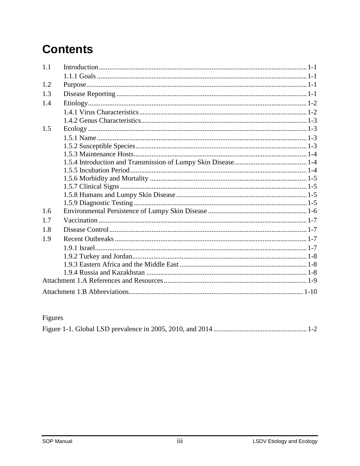# **Contents**

| 1.1 |  |  |
|-----|--|--|
|     |  |  |
| 1.2 |  |  |
| 1.3 |  |  |
| 1.4 |  |  |
|     |  |  |
|     |  |  |
| 1.5 |  |  |
|     |  |  |
|     |  |  |
|     |  |  |
|     |  |  |
|     |  |  |
|     |  |  |
|     |  |  |
|     |  |  |
|     |  |  |
| 1.6 |  |  |
| 1.7 |  |  |
| 1.8 |  |  |
| 1.9 |  |  |
|     |  |  |
|     |  |  |
|     |  |  |
|     |  |  |
|     |  |  |
|     |  |  |

## Figures

|--|--|--|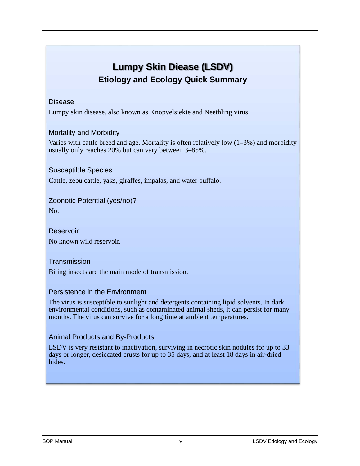## **Lumpy Skin Diease (LSDV) Etiology and Ecology Quick Summary**

#### Disease

Lumpy skin disease, also known as Knopvelsiekte and Neethling virus.

#### Mortality and Morbidity

Varies with cattle breed and age. Mortality is often relatively low  $(1-3\%)$  and morbidity usually only reaches 20% but can vary between 3–85%.

#### Susceptible Species

Cattle, zebu cattle, yaks, giraffes, impalas, and water buffalo.

#### Zoonotic Potential (yes/no)?

No.

Reservoir No known wild reservoir.

#### **Transmission**

Biting insects are the main mode of transmission.

#### Persistence in the Environment

The virus is susceptible to sunlight and detergents containing lipid solvents. In dark environmental conditions, such as contaminated animal sheds, it can persist for many months. The virus can survive for a long time at ambient temperatures.

#### Animal Products and By-Products

LSDV is very resistant to inactivation, surviving in necrotic skin nodules for up to 33 days or longer, desiccated crusts for up to 35 days, and at least 18 days in air-dried hides.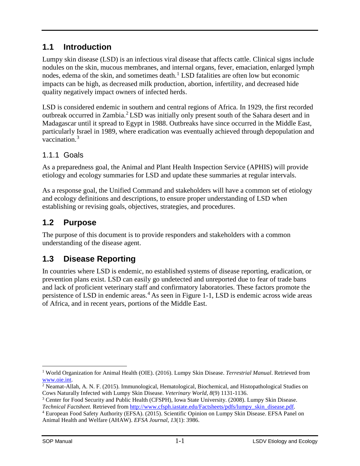## **1.1 Introduction**

Lumpy skin disease (LSD) is an infectious viral disease that affects cattle. Clinical signs include nodules on the skin, mucous membranes, and internal organs, fever, emaciation, enlarged lymph nodes, edema of the skin, and sometimes death. [1](#page-4-0) LSD fatalities are often low but economic impacts can be high, as decreased milk production, abortion, infertility, and decreased hide quality negatively impact owners of infected herds.

LSD is considered endemic in southern and central regions of Africa. In 1929, the first recorded outbreak occurred in Zambia.[2](#page-4-1) LSD was initially only present south of the Sahara desert and in Madagascar until it spread to Egypt in 1988. Outbreaks have since occurred in the Middle East, particularly Israel in 1989, where eradication was eventually achieved through depopulation and vaccination.[3](#page-4-2)

#### 1.1.1 Goals

As a preparedness goal, the Animal and Plant Health Inspection Service (APHIS) will provide etiology and ecology summaries for LSD and update these summaries at regular intervals.

As a response goal, the Unified Command and stakeholders will have a common set of etiology and ecology definitions and descriptions, to ensure proper understanding of LSD when establishing or revising goals, objectives, strategies, and procedures.

## **1.2 Purpose**

The purpose of this document is to provide responders and stakeholders with a common understanding of the disease agent.

## **1.3 Disease Reporting**

In countries where LSD is endemic, no established systems of disease reporting, eradication, or prevention plans exist. LSD can easily go undetected and unreported due to fear of trade bans and lack of proficient veterinary staff and confirmatory laboratories. These factors promote the persistence of LSD in endemic areas.<sup>[4](#page-4-3)</sup> As seen in Figure 1-1, LSD is endemic across wide areas of Africa, and in recent years, portions of the Middle East.

<span id="page-4-0"></span> <sup>1</sup> World Organization for Animal Health (OIE). (2016). Lumpy Skin Disease. *Terrestrial Manual*. Retrieved from [www.oie.int.](http://www.oie.int/)

<span id="page-4-1"></span><sup>2</sup> Neamat-Allah, A. N. F. (2015). Immunological, Hematological, Biochemical, and Histopathological Studies on Cows Naturally Infected with Lumpy Skin Disease. *Veterinary World*, *8*(9) 1131-1136.

<span id="page-4-2"></span><sup>3</sup> Center for Food Security and Public Health (CFSPH), Iowa State University. (2008). Lumpy Skin Disease. *Technical Factsheet.* Retrieved from [http://www.cfsph.iastate.edu/Factsheets/pdfs/lumpy\\_skin\\_disease.pdf.](http://www.cfsph.iastate.edu/Factsheets/pdfs/lumpy_skin_disease.pdf)

<span id="page-4-3"></span><sup>4</sup> European Food Safety Authority (EFSA). (2015). Scientific Opinion on Lumpy Skin Disease. EFSA Panel on Animal Health and Welfare (AHAW). *EFSA Journal*, *13*(1): 3986.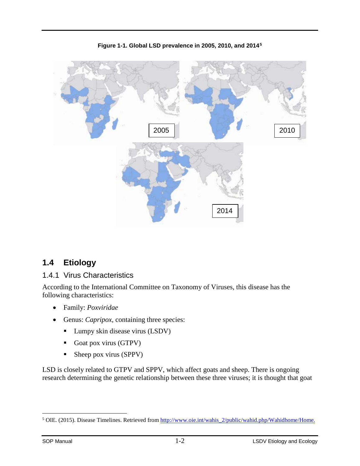

**Figure 1-1. Global LSD prevalence in 2005, 2010, and 2014[5](#page-5-0)**

## **1.4 Etiology**

#### 1.4.1 Virus Characteristics

According to the International Committee on Taxonomy of Viruses, this disease has the following characteristics:

- Family: *Poxviridae*
- Genus: *Capripox*, containing three species:
	- Lumpy skin disease virus (LSDV)
	- Goat pox virus (GTPV)
	- Sheep pox virus (SPPV)

LSD is closely related to GTPV and SPPV, which affect goats and sheep. There is ongoing research determining the genetic relationship between these three viruses; it is thought that goat

<span id="page-5-0"></span><sup>&</sup>lt;sup>5</sup> OIE. (2015). Disease Timelines. Retrieved from [http://www.oie.int/wahis\\_2/public/wahid.php/Wahidhome/Home.](http://www.oie.int/wahis_2/public/wahid.php/Wahidhome/Home)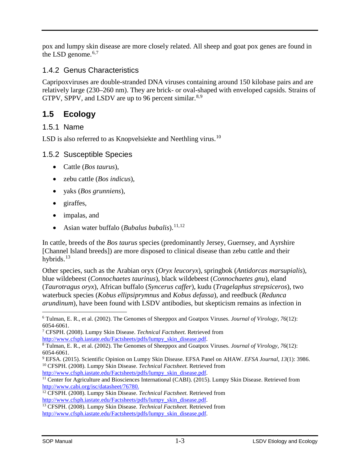pox and lumpy skin disease are more closely related. All sheep and goat pox genes are found in the LSD genome.<sup>[6,](#page-6-0)[7](#page-6-1)</sup>

#### 1.4.2 Genus Characteristics

Capripoxviruses are double-stranded DNA viruses containing around 150 kilobase pairs and are relatively large (230–260 nm). They are brick- or oval-shaped with enveloped capsids. Strains of GTPV, SPPV, and LSDV are up to 96 percent similar.<sup>[8,](#page-6-2)[9](#page-6-3)</sup>

## **1.5 Ecology**

#### 1.5.1 Name

LSD is also referred to as Knopvelsiekte and Neethling virus.<sup>[10](#page-6-4)</sup>

#### 1.5.2 Susceptible Species

- Cattle (*Bos taurus*),
- zebu cattle (*Bos indicus*),
- yaks (*Bos grunniens*),
- giraffes,
- impalas, and
- Asian water buffalo (*Bubalus bubalis*).<sup>[11,](#page-6-5)[12](#page-6-6)</sup>

In cattle, breeds of the *Bos taurus* species (predominantly Jersey, Guernsey, and Ayrshire [Channel Island breeds]) are more disposed to clinical disease than zebu cattle and their hybrids. $13$ 

Other species, such as the Arabian oryx (*Oryx leucoryx*), springbok (*Antidorcas marsupialis*), blue wildebeest (*Connochaetes taurinus*), black wildebeest (*Connochaetes gnu*), eland (*Taurotragus oryx*), African buffalo (*Syncerus caffer*), kudu (*Tragelaphus strepsiceros*), two waterbuck species (*Kobus ellipsiprymnus* and *Kobus defassa*), and reedbuck (*Redunca arundinum*), have been found with LSDV antibodies, but skepticism remains as infection in

<span id="page-6-4"></span><span id="page-6-3"></span><sup>9</sup> EFSA. (2015). Scientific Opinion on Lumpy Skin Disease. EFSA Panel on AHAW. *EFSA Journal*, *13*(1): 3986. <sup>10</sup> CFSPH. (2008). Lumpy Skin Disease. *Technical Factsheet.* Retrieved from [http://www.cfsph.iastate.edu/Factsheets/pdfs/lumpy\\_skin\\_disease.pdf.](http://www.cfsph.iastate.edu/Factsheets/pdfs/lumpy_skin_disease.pdf)

<span id="page-6-0"></span> <sup>6</sup> Tulman, E. R., et al. (2002). The Genomes of Sheeppox and Goatpox Viruses. *Journal of Virology*, *<sup>76</sup>*(12): 6054-6061.

<span id="page-6-1"></span><sup>7</sup> CFSPH. (2008). Lumpy Skin Disease. *Technical Factsheet.* Retrieved from

[http://www.cfsph.iastate.edu/Factsheets/pdfs/lumpy\\_skin\\_disease.pdf.](http://www.cfsph.iastate.edu/Factsheets/pdfs/lumpy_skin_disease.pdf)

<span id="page-6-2"></span><sup>8</sup> Tulman, E. R., et al. (2002). The Genomes of Sheeppox and Goatpox Viruses. *Journal of Virology, 76*(12): 6054-6061.

<span id="page-6-5"></span><sup>&</sup>lt;sup>11</sup> Center for Agriculture and Biosciences International (CABI). (2015). Lumpy Skin Disease. Retrieved from [http://www.cabi.org/isc/datasheet/76780.](http://www.cabi.org/isc/datasheet/76780)

<span id="page-6-6"></span><sup>12</sup> CFSPH. (2008). Lumpy Skin Disease. *Technical Factsheet.* Retrieved from [http://www.cfsph.iastate.edu/Factsheets/pdfs/lumpy\\_skin\\_disease.pdf.](http://www.cfsph.iastate.edu/Factsheets/pdfs/lumpy_skin_disease.pdf)

<span id="page-6-7"></span><sup>13</sup> CFSPH. (2008). Lumpy Skin Disease. *Technical Factsheet.* Retrieved from [http://www.cfsph.iastate.edu/Factsheets/pdfs/lumpy\\_skin\\_disease.pdf.](http://www.cfsph.iastate.edu/Factsheets/pdfs/lumpy_skin_disease.pdf)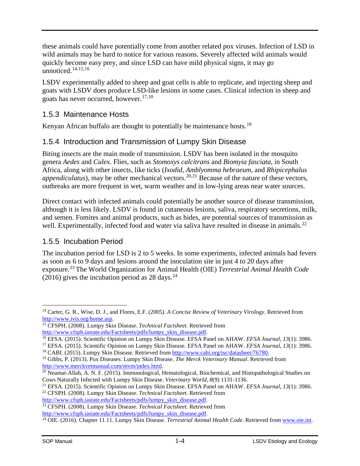these animals could have potentially come from another related pox viruses. Infection of LSD in wild animals may be hard to notice for various reasons. Severely affected wild animals would quickly become easy prey, and since LSD can have mild physical signs, it may go unnoticed. $14,15,16$  $14,15,16$  $14,15,16$  $14,15,16$ 

LSDV experimentally added to sheep and goat cells is able to replicate, and injecting sheep and goats with LSDV does produce LSD-like lesions in some cases. Clinical infection in sheep and goats has never occurred, however. [17,](#page-7-3)[18](#page-7-4)

#### 1.5.3 Maintenance Hosts

Kenyan African buffalo are thought to potentially be maintenance hosts.<sup>[19](#page-7-5)</sup>

#### 1.5.4 Introduction and Transmission of Lumpy Skin Disease

Biting insects are the main mode of transmission. LSDV has been isolated in the mosquito genera *Aedes* and *Culex*. Flies, such as *Stomoxys calcitrans* and *Biomyia fasciata*, in South Africa, along with other insects, like ticks (*Ixodid*, *Amblyomma hebraeum*, and *Rhipicephalus appendiculatus*), may be other mechanical vectors. [20,](#page-7-6)[21](#page-7-7) Because of the nature of these vectors, outbreaks are more frequent in wet, warm weather and in low-lying areas near water sources.

Direct contact with infected animals could potentially be another source of disease transmission, although it is less likely. LSDV is found in cutaneous lesions, saliva, respiratory secretions, milk, and semen. Fomites and animal products, such as hides, are potential sources of transmission as well. Experimentally, infected food and water via saliva have resulted in disease in animals.<sup>[22](#page-7-8)</sup>

#### 1.5.5 Incubation Period

The incubation period for LSD is 2 to 5 weeks. In some experiments, infected animals had fevers as soon as 6 to 9 days and lesions around the inoculation site in just 4 to 20 days after exposure. [23](#page-7-9) The World Organization for Animal Health (OIE) *Terrestrial Animal Health Code* (2016) gives the incubation period as  $28 \text{ days.}^{24}$  $28 \text{ days.}^{24}$  $28 \text{ days.}^{24}$ 

<span id="page-7-9"></span><sup>23</sup> CFSPH. (2008). Lumpy Skin Disease. *Technical Factsheet.* Retrieved from [http://www.cfsph.iastate.edu/Factsheets/pdfs/lumpy\\_skin\\_disease.pdf.](http://www.cfsph.iastate.edu/Factsheets/pdfs/lumpy_skin_disease.pdf)

<span id="page-7-0"></span> <sup>14</sup> Carter, G. R., Wise, D. J., and Flores, E.F. (2005). *A Concise Review of Veterinary Virology*. Retrieved from [http://www.ivis.org/home.asp.](http://www.ivis.org/home.asp)

<span id="page-7-1"></span><sup>15</sup> CFSPH. (2008). Lumpy Skin Disease. *Technical Factsheet.* Retrieved from [http://www.cfsph.iastate.edu/Factsheets/pdfs/lumpy\\_skin\\_disease.pdf.](http://www.cfsph.iastate.edu/Factsheets/pdfs/lumpy_skin_disease.pdf)

<span id="page-7-2"></span><sup>16</sup> EFSA. (2015). Scientific Opinion on Lumpy Skin Disease. EFSA Panel on AHAW. *EFSA Journal*, *13*(1): 3986.

<span id="page-7-3"></span><sup>17</sup> EFSA. (2015). Scientific Opinion on Lumpy Skin Disease. EFSA Panel on AHAW. *EFSA Journal*, *13*(1): 3986. <sup>18</sup> CABI. (2015). Lumpy Skin Disease. Retrieved from [http://www.cabi.org/isc/datasheet/76780.](http://www.cabi.org/isc/datasheet/76780)

<span id="page-7-5"></span><span id="page-7-4"></span><sup>19</sup> Gibbs, P. (2013). Pox Diseases: Lumpy Skin Disease. *The Merck Veterinary Manual*. Retrieved from [http://www.merckvetmanual.com/mvm/index.html.](http://www.merckvetmanual.com/mvm/index.html)

<span id="page-7-6"></span> $\overline{20}$  Neamat-Allah, A. N. F. (2015). Immunological, Hematological, Biochemical, and Histopathological Studies on Cows Naturally Infected with Lumpy Skin Disease. *Veterinary World*, *8*(9) 1131-1136.

<span id="page-7-7"></span><sup>21</sup> EFSA. (2015). Scientific Opinion on Lumpy Skin Disease. EFSA Panel on AHAW. *EFSA Journal*, *13*(1): 3986.

<span id="page-7-8"></span><sup>22</sup> CFSPH. (2008). Lumpy Skin Disease. *Technical Factsheet.* Retrieved from [http://www.cfsph.iastate.edu/Factsheets/pdfs/lumpy\\_skin\\_disease.pdf.](http://www.cfsph.iastate.edu/Factsheets/pdfs/lumpy_skin_disease.pdf)

<span id="page-7-10"></span><sup>&</sup>lt;sup>24</sup> OIE. (2016). Chapter 11.11. Lumpy Skin Disease. *Terrestrial Animal Health Code*. Retrieved fro[m www.oie.int.](http://www.oie.int/)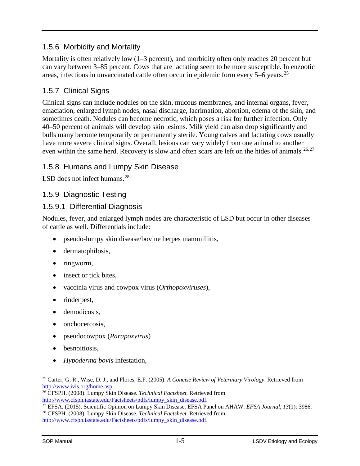#### 1.5.6 Morbidity and Mortality

Mortality is often relatively low (1–3 percent), and morbidity often only reaches 20 percent but can vary between 3–85 percent. Cows that are lactating seem to be more susceptible. In enzootic areas, infections in unvaccinated cattle often occur in epidemic form every 5–6 years.[25](#page-8-0)

## 1.5.7 Clinical Signs

Clinical signs can include nodules on the skin, mucous membranes, and internal organs, fever, emaciation, enlarged lymph nodes, nasal discharge, lacrimation, abortion, edema of the skin, and sometimes death. Nodules can become necrotic, which poses a risk for further infection. Only 40–50 percent of animals will develop skin lesions. Milk yield can also drop significantly and bulls many become temporarily or permanently sterile. Young calves and lactating cows usually have more severe clinical signs. Overall, lesions can vary widely from one animal to another even within the same herd. Recovery is slow and often scars are left on the hides of animals.<sup>[26](#page-8-1),[27](#page-8-2)</sup>

#### 1.5.8 Humans and Lumpy Skin Disease

LSD does not infect humans. $^{28}$  $^{28}$  $^{28}$ 

#### 1.5.9 Diagnostic Testing

#### 1.5.9.1 Differential Diagnosis

Nodules, fever, and enlarged lymph nodes are characteristic of LSD but occur in other diseases of cattle as well. Differentials include:

- pseudo-lumpy skin disease/bovine herpes mammillitis,
- dermatophilosis,
- ringworm,
- insect or tick bites.
- vaccinia virus and cowpox virus (*Orthopoxviruses*),
- rinderpest,
- demodicosis.
- onchocercosis,
- pseudocowpox (*Parapoxvirus*)
- besnoitiosis.
- *Hypoderma bovis* infestation,

<span id="page-8-0"></span> <sup>25</sup> Carter, G. R., Wise, D. J., and Flores, E.F. (2005). *A Concise Review of Veterinary Virology*. Retrieved from [http://www.ivis.org/home.asp.](http://www.ivis.org/home.asp)

<span id="page-8-1"></span><sup>26</sup> CFSPH. (2008). Lumpy Skin Disease. *Technical Factsheet.* Retrieved from [http://www.cfsph.iastate.edu/Factsheets/pdfs/lumpy\\_skin\\_disease.pdf.](http://www.cfsph.iastate.edu/Factsheets/pdfs/lumpy_skin_disease.pdf)

<span id="page-8-3"></span><span id="page-8-2"></span><sup>27</sup> EFSA. (2015). Scientific Opinion on Lumpy Skin Disease. EFSA Panel on AHAW. *EFSA Journal*, *13*(1): 3986. <sup>28</sup> CFSPH. (2008). Lumpy Skin Disease. *Technical Factsheet.* Retrieved from [http://www.cfsph.iastate.edu/Factsheets/pdfs/lumpy\\_skin\\_disease.pdf.](http://www.cfsph.iastate.edu/Factsheets/pdfs/lumpy_skin_disease.pdf)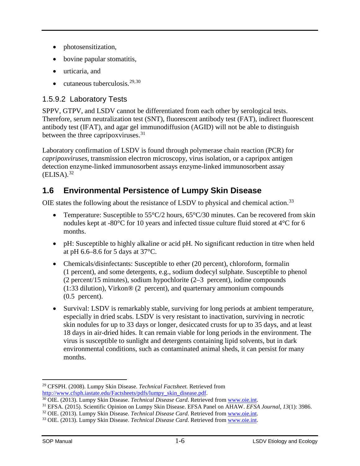- photosensitization,
- bovine papular stomatitis,
- urticaria, and
- cutaneous tuberculosis.  $29,30$  $29,30$

## 1.5.9.2 Laboratory Tests

SPPV, GTPV, and LSDV cannot be differentiated from each other by serological tests. Therefore, serum neutralization test (SNT), fluorescent antibody test (FAT), indirect fluorescent antibody test (IFAT), and agar gel immunodiffusion (AGID) will not be able to distinguish between the three capripoxviruses.<sup>[31](#page-9-2)</sup>

Laboratory confirmation of LSDV is found through polymerase chain reaction (PCR) for *capripoxviruses*, transmission electron microscopy, virus isolation, or a capripox antigen detection enzyme-linked immunosorbent assays enzyme-linked immunosorbent assay  $(ELISA).$ <sup>[32](#page-9-3)</sup>

## **1.6 Environmental Persistence of Lumpy Skin Disease**

OIE states the following about the resistance of LSDV to physical and chemical action.<sup>[33](#page-9-4)</sup>

- Temperature: Susceptible to  $55^{\circ}C/2$  hours,  $65^{\circ}C/30$  minutes. Can be recovered from skin nodules kept at -80°C for 10 years and infected tissue culture fluid stored at 4°C for 6 months.
- pH: Susceptible to highly alkaline or acid pH. No significant reduction in titre when held at pH 6.6–8.6 for 5 days at 37°C.
- Chemicals/disinfectants: Susceptible to ether (20 percent), chloroform, formalin (1 percent), and some detergents, e.g., sodium dodecyl sulphate. Susceptible to phenol (2 percent/15 minutes), sodium hypochlorite (2–3 percent), iodine compounds (1:33 dilution), Virkon® (2 percent), and quarternary ammonium compounds (0.5 percent).
- Survival: LSDV is remarkably stable, surviving for long periods at ambient temperature, especially in dried scabs. LSDV is very resistant to inactivation, surviving in necrotic skin nodules for up to 33 days or longer, desiccated crusts for up to 35 days, and at least 18 days in air-dried hides. It can remain viable for long periods in the environment. The virus is susceptible to sunlight and detergents containing lipid solvents, but in dark environmental conditions, such as contaminated animal sheds, it can persist for many months.

<span id="page-9-0"></span> <sup>29</sup> CFSPH. (2008). Lumpy Skin Disease. *Technical Factsheet.* Retrieved from [http://www.cfsph.iastate.edu/Factsheets/pdfs/lumpy\\_skin\\_disease.pdf.](http://www.cfsph.iastate.edu/Factsheets/pdfs/lumpy_skin_disease.pdf)

<span id="page-9-1"></span><sup>30</sup> OIE. (2013). Lumpy Skin Disease. *Technical Disease Card*. Retrieved fro[m www.oie.int.](http://www.oie.int/)

<span id="page-9-2"></span><sup>31</sup> EFSA. (2015). Scientific Opinion on Lumpy Skin Disease. EFSA Panel on AHAW. *EFSA Journal*, *13*(1): 3986.

<sup>32</sup> OIE. (2013). Lumpy Skin Disease. *Technical Disease Card*. Retrieved fro[m www.oie.int.](http://www.oie.int/)

<span id="page-9-4"></span><span id="page-9-3"></span><sup>33</sup> OIE. (2013). Lumpy Skin Disease. *Technical Disease Card*. Retrieved fro[m www.oie.int.](http://www.oie.int/)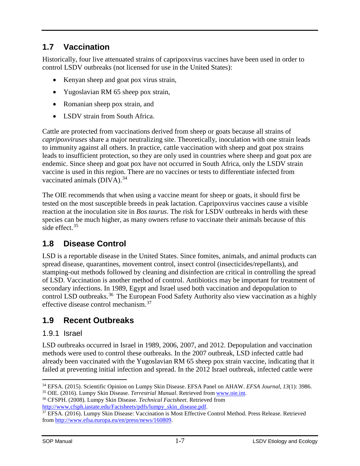## **1.7 Vaccination**

Historically, four live attenuated strains of capripoxvirus vaccines have been used in order to control LSDV outbreaks (not licensed for use in the United States):

- Kenyan sheep and goat pox virus strain,
- Yugoslavian RM 65 sheep pox strain,
- Romanian sheep pox strain, and
- LSDV strain from South Africa.

Cattle are protected from vaccinations derived from sheep or goats because all strains of *capripoxviruses* share a major neutralizing site. Theoretically, inoculation with one strain leads to immunity against all others. In practice, cattle vaccination with sheep and goat pox strains leads to insufficient protection, so they are only used in countries where sheep and goat pox are endemic. Since sheep and goat pox have not occurred in South Africa, only the LSDV strain vaccine is used in this region. There are no vaccines or tests to differentiate infected from vaccinated animals  $(DIVA)^{34}$  $(DIVA)^{34}$  $(DIVA)^{34}$ 

The OIE recommends that when using a vaccine meant for sheep or goats, it should first be tested on the most susceptible breeds in peak lactation. Capripoxvirus vaccines cause a visible reaction at the inoculation site in *Bos taurus*. The risk for LSDV outbreaks in herds with these species can be much higher, as many owners refuse to vaccinate their animals because of this side effect.<sup>[35](#page-10-1)</sup>

## **1.8 Disease Control**

LSD is a reportable disease in the United States. Since fomites, animals, and animal products can spread disease, quarantines, movement control, insect control (insecticides/repellants), and stamping-out methods followed by cleaning and disinfection are critical in controlling the spread of LSD. Vaccination is another method of control. Antibiotics may be important for treatment of secondary infections. In 1989, Egypt and Israel used both vaccination and depopulation to control LSD outbreaks.<sup>[36](#page-10-2)</sup> The European Food Safety Authority also view vaccination as a highly effective disease control mechanism.[37](#page-10-3)

## **1.9 Recent Outbreaks**

#### 1.9.1 Israel

LSD outbreaks occurred in Israel in 1989, 2006, 2007, and 2012. Depopulation and vaccination methods were used to control these outbreaks. In the 2007 outbreak, LSD infected cattle had already been vaccinated with the Yugoslavian RM 65 sheep pox strain vaccine, indicating that it failed at preventing initial infection and spread. In the 2012 Israel outbreak, infected cattle were

<span id="page-10-0"></span> <sup>34</sup> EFSA. (2015). Scientific Opinion on Lumpy Skin Disease. EFSA Panel on AHAW. *EFSA Journal*, *<sup>13</sup>*(1): 3986. <sup>35</sup> OIE. (2016). Lumpy Skin Disease. *Terrestrial Manual*. Retrieved from [www.oie.int.](http://www.oie.int/)

<span id="page-10-2"></span><span id="page-10-1"></span><sup>36</sup> CFSPH. (2008). Lumpy Skin Disease. *Technical Factsheet*. Retrieved from [http://www.cfsph.iastate.edu/Factsheets/pdfs/lumpy\\_skin\\_disease.pdf.](http://www.cfsph.iastate.edu/Factsheets/pdfs/lumpy_skin_disease.pdf)

<span id="page-10-3"></span><sup>37</sup> EFSA. (2016). Lumpy Skin Disease: Vaccination is Most Effective Control Method. Press Release. Retrieved from [http://www.efsa.europa.eu/en/press/news/160809.](http://www.efsa.europa.eu/en/press/news/160809)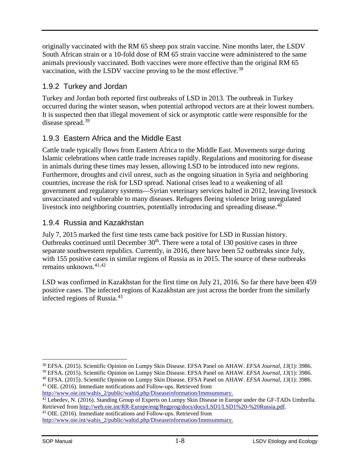originally vaccinated with the RM 65 sheep pox strain vaccine. Nine months later, the LSDV South African strain or a 10-fold dose of RM 65 strain vaccine were administered to the same animals previously vaccinated. Both vaccines were more effective than the original RM 65 vaccination, with the LSDV vaccine proving to be the most effective.<sup>[38](#page-11-0)</sup>

## 1.9.2 Turkey and Jordan

Turkey and Jordan both reported first outbreaks of LSD in 2013. The outbreak in Turkey occurred during the winter season, when potential arthropod vectors are at their lowest numbers. It is suspected then that illegal movement of sick or asymptotic cattle were responsible for the disease spread.<sup>[39](#page-11-1)</sup>

## 1.9.3 Eastern Africa and the Middle East

Cattle trade typically flows from Eastern Africa to the Middle East. Movements surge during Islamic celebrations when cattle trade increases rapidly. Regulations and monitoring for disease in animals during these times may lessen, allowing LSD to be introduced into new regions. Furthermore, droughts and civil unrest, such as the ongoing situation in Syria and neighboring countries, increase the risk for LSD spread. National crises lead to a weakening of all government and regulatory systems—Syrian veterinary services halted in 2012, leaving livestock unvaccinated and vulnerable to many diseases. Refugees fleeing violence bring unregulated livestock into neighboring countries, potentially introducing and spreading disease.<sup>[40](#page-11-2)</sup>

#### 1.9.4 Russia and Kazakhstan

July 7, 2015 marked the first time tests came back positive for LSD in Russian history. Outbreaks continued until December  $30<sup>th</sup>$ . There were a total of 130 positive cases in three separate southwestern republics. Currently, in 2016, there have been 52 outbreaks since July, with 155 positive cases in similar regions of Russia as in 2015. The source of these outbreaks remains unknown. [41](#page-11-3),[42](#page-11-4)

LSD was confirmed in Kazakhstan for the first time on July 21, 2016. So far there have been 459 positive cases. The infected regions of Kazakhstan are just across the border from the similarly infected regions of Russia.[43](#page-11-5)

<span id="page-11-1"></span><sup>39</sup> EFSA. (2015). Scientific Opinion on Lumpy Skin Disease. EFSA Panel on AHAW. *EFSA Journal*, *13*(1): 3986. <sup>40</sup> EFSA. (2015). Scientific Opinion on Lumpy Skin Disease. EFSA Panel on AHAW. *EFSA Journal*, *13*(1): 3986.

<span id="page-11-3"></span><span id="page-11-2"></span><sup>41</sup> OIE. (2016). Immediate notifications and Follow-ups. Retrieved from [http://www.oie.int/wahis\\_2/public/wahid.php/Diseaseinformation/Immsummary.](http://www.oie.int/wahis_2/public/wahid.php/Diseaseinformation/Immsummary)

<span id="page-11-5"></span><sup>43</sup> OIE. (2016). Immediate notifications and Follow-ups. Retrieved from [http://www.oie.int/wahis\\_2/public/wahid.php/Diseaseinformation/Immsummary.](http://www.oie.int/wahis_2/public/wahid.php/Diseaseinformation/Immsummary)

<span id="page-11-0"></span> <sup>38</sup> EFSA. (2015). Scientific Opinion on Lumpy Skin Disease. EFSA Panel on AHAW. *EFSA Journal*, *<sup>13</sup>*(1): 3986.

<span id="page-11-4"></span><sup>&</sup>lt;sup>42</sup> Lebedev, N. (2016). Standing Group of Experts on Lumpy Skin Disease in Europe under the GF-TADs Umbrella. Retrieved from [http://web.oie.int/RR-Europe/eng/Regprog/docs/docs/LSD1/LSD1%20-%20Russia.pdf.](http://web.oie.int/RR-Europe/eng/Regprog/docs/docs/LSD1/LSD1%20-%20Russia.pdf)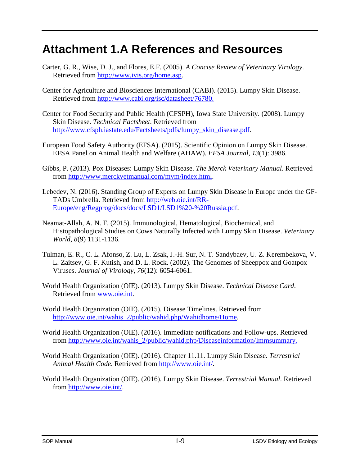## **Attachment 1.A References and Resources**

- Carter, G. R., Wise, D. J., and Flores, E.F. (2005). *A Concise Review of Veterinary Virology*. Retrieved from [http://www.ivis.org/home.asp.](http://www.ivis.org/home.asp)
- Center for Agriculture and Biosciences International (CABI). (2015). Lumpy Skin Disease. Retrieved from [http://www.cabi.org/isc/datasheet/76780.](http://www.cabi.org/isc/datasheet/76780)
- Center for Food Security and Public Health (CFSPH), Iowa State University. (2008). Lumpy Skin Disease. *Technical Factsheet*. Retrieved from [http://www.cfsph.iastate.edu/Factsheets/pdfs/lumpy\\_skin\\_disease.pdf.](http://www.cfsph.iastate.edu/Factsheets/pdfs/lumpy_skin_disease.pdf)
- European Food Safety Authority (EFSA). (2015). Scientific Opinion on Lumpy Skin Disease. EFSA Panel on Animal Health and Welfare (AHAW). *EFSA Journal*, *13*(1): 3986.
- Gibbs, P. (2013). Pox Diseases: Lumpy Skin Disease. *The Merck Veterinary Manual*. Retrieved from [http://www.merckvetmanual.com/mvm/index.html.](http://www.merckvetmanual.com/mvm/index.html)
- Lebedev, N. (2016). Standing Group of Experts on Lumpy Skin Disease in Europe under the GF-TADs Umbrella. Retrieved from [http://web.oie.int/RR-](http://web.oie.int/RR-Europe/eng/Regprog/docs/docs/LSD1/LSD1%20-%20Russia.pdf)[Europe/eng/Regprog/docs/docs/LSD1/LSD1%20-%20Russia.pdf.](http://web.oie.int/RR-Europe/eng/Regprog/docs/docs/LSD1/LSD1%20-%20Russia.pdf)
- Neamat-Allah, A. N. F. (2015). Immunological, Hematological, Biochemical, and Histopathological Studies on Cows Naturally Infected with Lumpy Skin Disease. *Veterinary World*, *8*(9) 1131-1136.
- Tulman, E. R., C. L. Afonso, Z. Lu, L. Zsak, J.-H. Sur, N. T. Sandybaev, U. Z. Kerembekova, V. L. Zaitsev, G. F. Kutish, and D. L. Rock. (2002). The Genomes of Sheeppox and Goatpox Viruses. *Journal of Virology*, *76*(12): 6054-6061.
- World Health Organization (OIE). (2013). Lumpy Skin Disease. *Technical Disease Card*. Retrieved from [www.oie.int.](http://www.oie.int/)
- World Health Organization (OIE). (2015). Disease Timelines. Retrieved from [http://www.oie.int/wahis\\_2/public/wahid.php/Wahidhome/Home.](http://www.oie.int/wahis_2/public/wahid.php/Wahidhome/Home)
- World Health Organization (OIE). (2016). Immediate notifications and Follow-ups. Retrieved from [http://www.oie.int/wahis\\_2/public/wahid.php/Diseaseinformation/Immsummary.](http://www.oie.int/wahis_2/public/wahid.php/Diseaseinformation/Immsummary)
- World Health Organization (OIE). (2016). Chapter 11.11. Lumpy Skin Disease. *Terrestrial Animal Health Code*. Retrieved from [http://www.oie.int/.](http://www.oie.int/)
- World Health Organization (OIE). (2016). Lumpy Skin Disease. *Terrestrial Manual*. Retrieved from [http://www.oie.int/.](http://www.oie.int/)